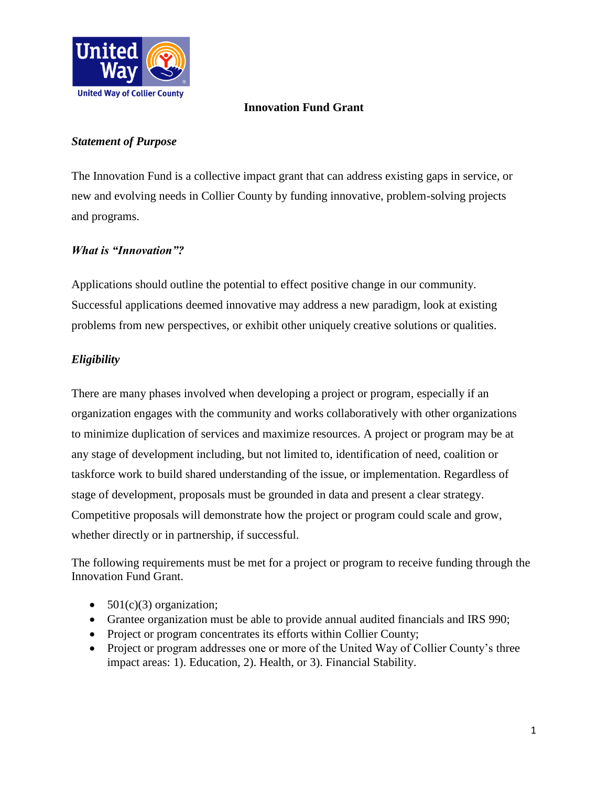

### **Innovation Fund Grant**

### *Statement of Purpose*

The Innovation Fund is a collective impact grant that can address existing gaps in service, or new and evolving needs in Collier County by funding innovative, problem-solving projects and programs.

### *What is "Innovation"?*

Applications should outline the potential to effect positive change in our community. Successful applications deemed innovative may address a new paradigm, look at existing problems from new perspectives, or exhibit other uniquely creative solutions or qualities.

## *Eligibility*

There are many phases involved when developing a project or program, especially if an organization engages with the community and works collaboratively with other organizations to minimize duplication of services and maximize resources. A project or program may be at any stage of development including, but not limited to, identification of need, coalition or taskforce work to build shared understanding of the issue, or implementation. Regardless of stage of development, proposals must be grounded in data and present a clear strategy. Competitive proposals will demonstrate how the project or program could scale and grow, whether directly or in partnership, if successful.

The following requirements must be met for a project or program to receive funding through the Innovation Fund Grant.

- $501(c)(3)$  organization;
- Grantee organization must be able to provide annual audited financials and IRS 990;
- Project or program concentrates its efforts within Collier County;
- Project or program addresses one or more of the United Way of Collier County's three impact areas: 1). Education, 2). Health, or 3). Financial Stability.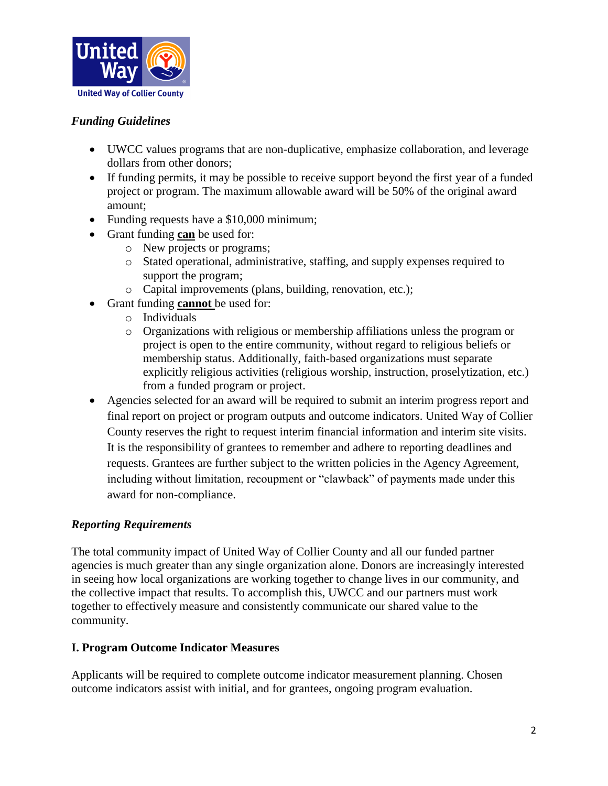

### *Funding Guidelines*

- UWCC values programs that are non-duplicative, emphasize collaboration, and leverage dollars from other donors;
- If funding permits, it may be possible to receive support beyond the first year of a funded project or program. The maximum allowable award will be 50% of the original award amount;
- Funding requests have a \$10,000 minimum;
- Grant funding **can** be used for:
	- o New projects or programs;
	- o Stated operational, administrative, staffing, and supply expenses required to support the program;
	- o Capital improvements (plans, building, renovation, etc.);
- Grant funding **cannot** be used for:
	- o Individuals
	- o Organizations with religious or membership affiliations unless the program or project is open to the entire community, without regard to religious beliefs or membership status. Additionally, faith-based organizations must separate explicitly religious activities (religious worship, instruction, proselytization, etc.) from a funded program or project.
- Agencies selected for an award will be required to submit an interim progress report and final report on project or program outputs and outcome indicators. United Way of Collier County reserves the right to request interim financial information and interim site visits. It is the responsibility of grantees to remember and adhere to reporting deadlines and requests. Grantees are further subject to the written policies in the Agency Agreement, including without limitation, recoupment or "clawback" of payments made under this award for non-compliance.

### *Reporting Requirements*

The total community impact of United Way of Collier County and all our funded partner agencies is much greater than any single organization alone. Donors are increasingly interested in seeing how local organizations are working together to change lives in our community, and the collective impact that results. To accomplish this, UWCC and our partners must work together to effectively measure and consistently communicate our shared value to the community.

### **I. Program Outcome Indicator Measures**

Applicants will be required to complete outcome indicator measurement planning. Chosen outcome indicators assist with initial, and for grantees, ongoing program evaluation.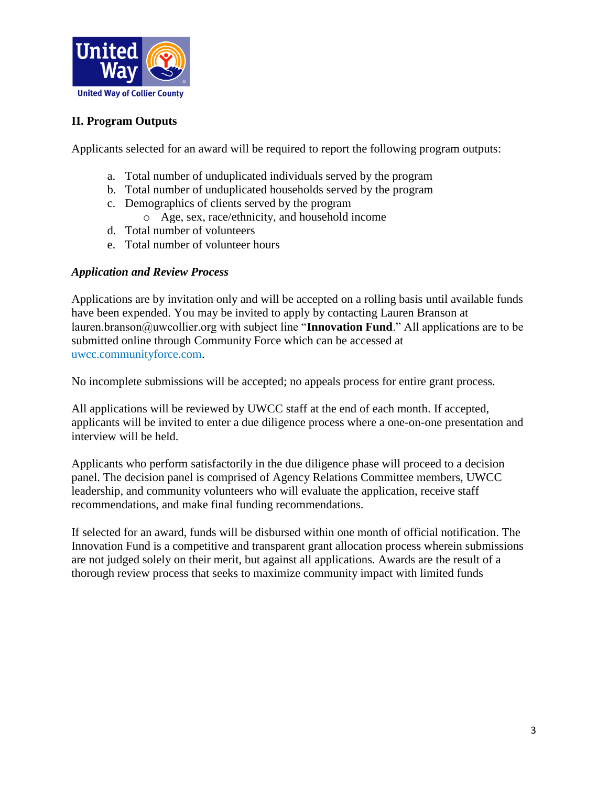

# **II. Program Outputs**

Applicants selected for an award will be required to report the following program outputs:

- a. Total number of unduplicated individuals served by the program
- b. Total number of unduplicated households served by the program
- c. Demographics of clients served by the program
	- o Age, sex, race/ethnicity, and household income
- d. Total number of volunteers
- e. Total number of volunteer hours

#### *Application and Review Process*

Applications are by invitation only and will be accepted on a rolling basis until available funds have been expended. You may be invited to apply by contacting Lauren Branson at lauren.branson@uwcollier.org with subject line "**Innovation Fund**." All applications are to be submitted online through Community Force which can be accessed at uwcc.communityforce.com.

No incomplete submissions will be accepted; no appeals process for entire grant process.

All applications will be reviewed by UWCC staff at the end of each month. If accepted, applicants will be invited to enter a due diligence process where a one-on-one presentation and interview will be held.

Applicants who perform satisfactorily in the due diligence phase will proceed to a decision panel. The decision panel is comprised of Agency Relations Committee members, UWCC leadership, and community volunteers who will evaluate the application, receive staff recommendations, and make final funding recommendations.

If selected for an award, funds will be disbursed within one month of official notification. The Innovation Fund is a competitive and transparent grant allocation process wherein submissions are not judged solely on their merit, but against all applications. Awards are the result of a thorough review process that seeks to maximize community impact with limited funds